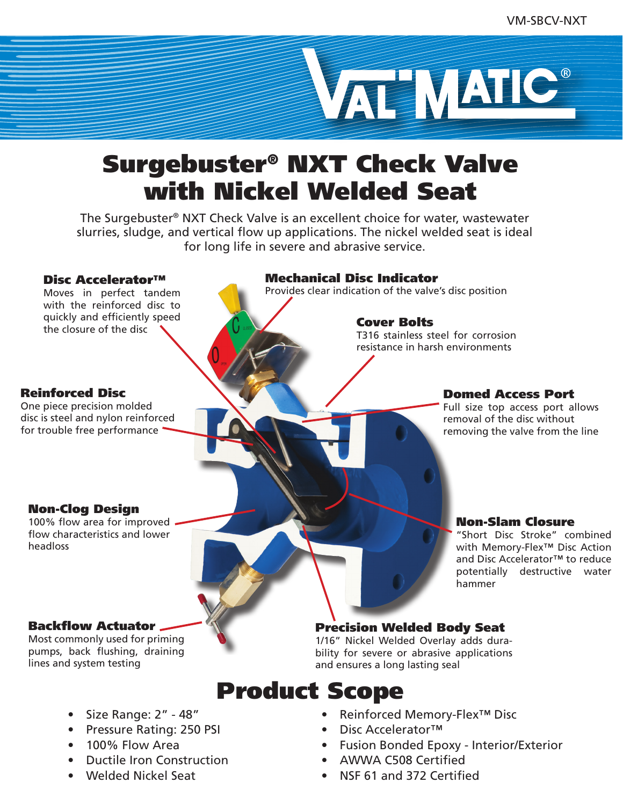

## Surgebuster® NXT Check Valve with Nickel Welded Seat

The Surgebuster® NXT Check Valve is an excellent choice for water, wastewater slurries, sludge, and vertical flow up applications. The nickel welded seat is ideal for long life in severe and abrasive service.

#### Disc Accelerator™

Moves in perfect tandem with the reinforced disc to quickly and efficiently speed the closure of the disc

#### Mechanical Disc Indicator

Provides clear indication of the valve's disc position

#### Cover Bolts

T316 stainless steel for corrosion resistance in harsh environments

#### Reinforced Disc

One piece precision molded disc is steel and nylon reinforced for trouble free performance

#### Domed Access Port

Full size top access port allows removal of the disc without removing the valve from the line

Non-Slam Closure

hammer

"Short Disc Stroke" combined with Memory-Flex<sup>™</sup> Disc Action and Disc Accelerator™ to reduce potentially destructive water

#### Non-Clog Design

100% flow area for improved flow characteristics and lower headloss

#### Backflow Actuator

Most commonly used for priming pumps, back flushing, draining lines and system testing

### Precision Welded Body Seat

1/16" Nickel Welded Overlay adds durability for severe or abrasive applications and ensures a long lasting seal

### Product Scope

- Size Range: 2" 48"
- Pressure Rating: 250 PSI
- 100% Flow Area
- Ductile Iron Construction
- Welded Nickel Seat

• Reinforced Memory-Flex™ Disc

- Disc Accelerator™
- Fusion Bonded Epoxy Interior/Exterior
- AWWA C508 Certified
- NSF 61 and 372 Certified